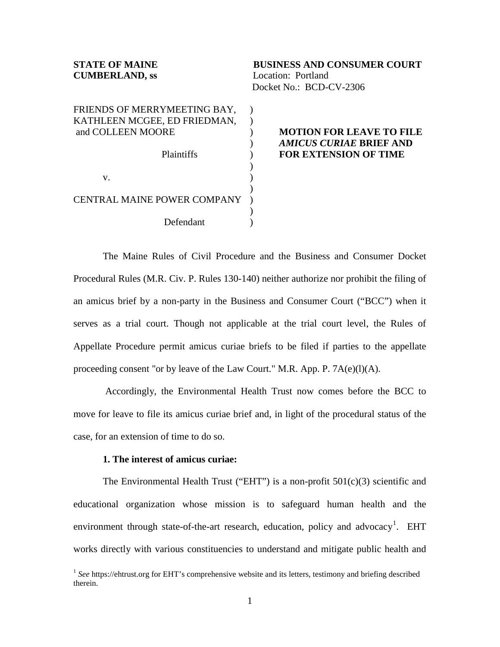| <b>STATE OF MAINE</b><br><b>CUMBERLAND, ss</b>                                                         | <b>BUSINESS AND CONSUMER COURT</b><br>Location: Portland<br>Docket No.: BCD-CV-2306               |
|--------------------------------------------------------------------------------------------------------|---------------------------------------------------------------------------------------------------|
| FRIENDS OF MERRYMEETING BAY,<br>KATHLEEN MCGEE, ED FRIEDMAN,<br>and COLLEEN MOORE<br><b>Plaintiffs</b> | <b>MOTION FOR LEAVE TO FILE</b><br><i>AMICUS CURIAE</i> BRIEF AND<br><b>FOR EXTENSION OF TIME</b> |
| V.                                                                                                     |                                                                                                   |
| <b>CENTRAL MAINE POWER COMPANY</b>                                                                     |                                                                                                   |
| Defendant                                                                                              |                                                                                                   |

The Maine Rules of Civil Procedure and the Business and Consumer Docket Procedural Rules (M.R. Civ. P. Rules 130-140) neither authorize nor prohibit the filing of an amicus brief by a non-party in the Business and Consumer Court ("BCC") when it serves as a trial court. Though not applicable at the trial court level, the Rules of Appellate Procedure permit amicus curiae briefs to be filed if parties to the appellate proceeding consent "or by leave of the Law Court." M.R. App. P. 7A(e)(l)(A).

Accordingly, the Environmental Health Trust now comes before the BCC to move for leave to file its amicus curiae brief and, in light of the procedural status of the case, for an extension of time to do so.

### **1. The interest of amicus curiae:**

The Environmental Health Trust ("EHT") is a non-profit  $501(c)(3)$  scientific and educational organization whose mission is to safeguard human health and the environment through state-of-the-art research, education, policy and advocacy<sup>[1](#page-0-0)</sup>. EHT works directly with various constituencies to understand and mitigate public health and

<span id="page-0-0"></span><sup>&</sup>lt;sup>1</sup> See https://ehtrust.org for EHT's comprehensive website and its letters, testimony and briefing described therein.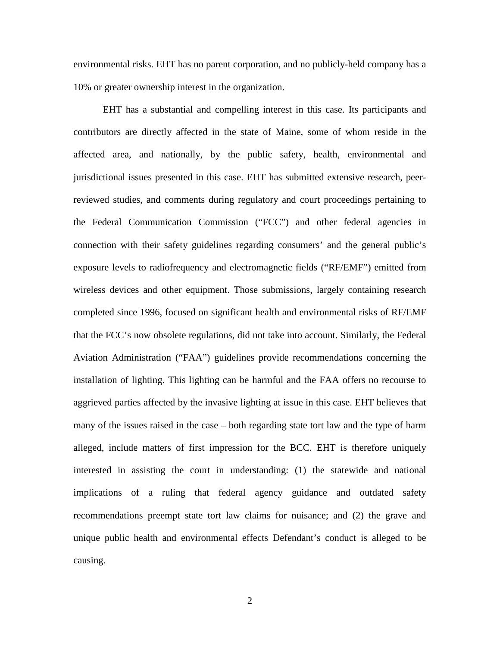environmental risks. EHT has no parent corporation, and no publicly-held company has a 10% or greater ownership interest in the organization.

EHT has a substantial and compelling interest in this case. Its participants and contributors are directly affected in the state of Maine, some of whom reside in the affected area, and nationally, by the public safety, health, environmental and jurisdictional issues presented in this case. EHT has submitted extensive research, peerreviewed studies, and comments during regulatory and court proceedings pertaining to the Federal Communication Commission ("FCC") and other federal agencies in connection with their safety guidelines regarding consumers' and the general public's exposure levels to radiofrequency and electromagnetic fields ("RF/EMF") emitted from wireless devices and other equipment. Those submissions, largely containing research completed since 1996, focused on significant health and environmental risks of RF/EMF that the FCC's now obsolete regulations, did not take into account. Similarly, the Federal Aviation Administration ("FAA") guidelines provide recommendations concerning the installation of lighting. This lighting can be harmful and the FAA offers no recourse to aggrieved parties affected by the invasive lighting at issue in this case. EHT believes that many of the issues raised in the case – both regarding state tort law and the type of harm alleged, include matters of first impression for the BCC. EHT is therefore uniquely interested in assisting the court in understanding: (1) the statewide and national implications of a ruling that federal agency guidance and outdated safety recommendations preempt state tort law claims for nuisance; and (2) the grave and unique public health and environmental effects Defendant's conduct is alleged to be causing.

2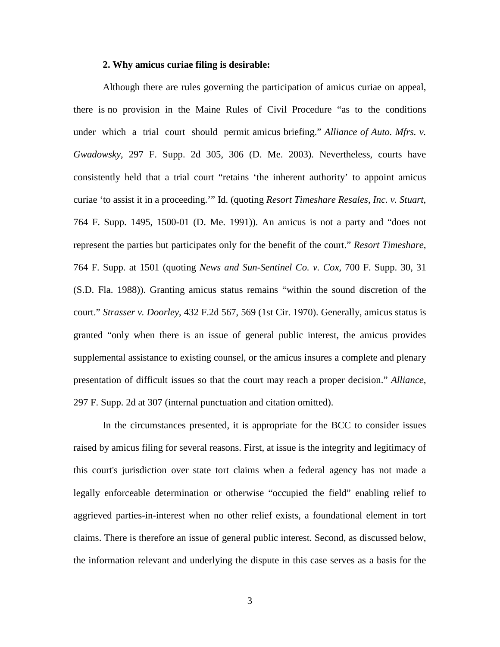# **2. Why amicus curiae filing is desirable:**

Although there are rules governing the participation of amicus curiae on appeal, there is no provision in the Maine Rules of Civil Procedure "as to the conditions under which a trial court should permit amicus briefing." *Alliance of Auto. Mfrs. v. Gwadowsky*, 297 F. Supp. 2d 305, 306 (D. Me. 2003). Nevertheless, courts have consistently held that a trial court "retains 'the inherent authority' to appoint amicus curiae 'to assist it in a proceeding.'" Id. (quoting *Resort Timeshare Resales, Inc. v. Stuart*, 764 F. Supp. 1495, 1500-01 (D. Me. 1991)). An amicus is not a party and "does not represent the parties but participates only for the benefit of the court." *Resort Timeshare*, 764 F. Supp. at 1501 (quoting *News and Sun-Sentinel Co. v. Cox*, 700 F. Supp. 30, 31 (S.D. Fla. 1988)). Granting amicus status remains "within the sound discretion of the court." *Strasser v. Doorley*, 432 F.2d 567, 569 (1st Cir. 1970). Generally, amicus status is granted "only when there is an issue of general public interest, the amicus provides supplemental assistance to existing counsel, or the amicus insures a complete and plenary presentation of difficult issues so that the court may reach a proper decision." *Alliance*, 297 F. Supp. 2d at 307 (internal punctuation and citation omitted).

In the circumstances presented, it is appropriate for the BCC to consider issues raised by amicus filing for several reasons. First, at issue is the integrity and legitimacy of this court's jurisdiction over state tort claims when a federal agency has not made a legally enforceable determination or otherwise "occupied the field" enabling relief to aggrieved parties-in-interest when no other relief exists, a foundational element in tort claims. There is therefore an issue of general public interest. Second, as discussed below, the information relevant and underlying the dispute in this case serves as a basis for the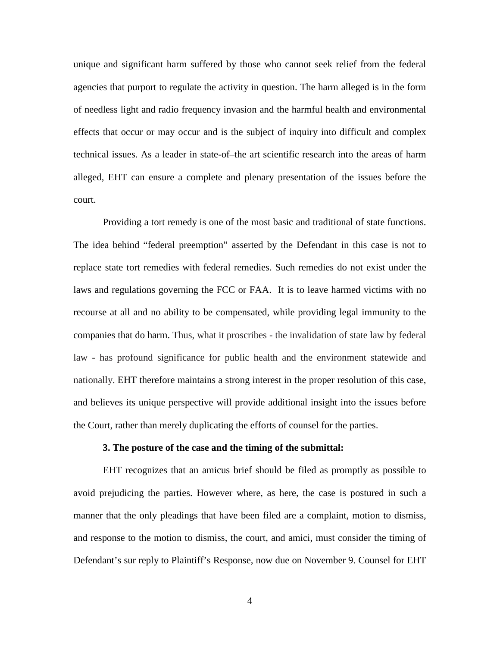unique and significant harm suffered by those who cannot seek relief from the federal agencies that purport to regulate the activity in question. The harm alleged is in the form of needless light and radio frequency invasion and the harmful health and environmental effects that occur or may occur and is the subject of inquiry into difficult and complex technical issues. As a leader in state-of–the art scientific research into the areas of harm alleged, EHT can ensure a complete and plenary presentation of the issues before the court.

Providing a tort remedy is one of the most basic and traditional of state functions. The idea behind "federal preemption" asserted by the Defendant in this case is not to replace state tort remedies with federal remedies. Such remedies do not exist under the laws and regulations governing the FCC or FAA. It is to leave harmed victims with no recourse at all and no ability to be compensated, while providing legal immunity to the companies that do harm. Thus, what it proscribes - the invalidation of state law by federal law - has profound significance for public health and the environment statewide and nationally. EHT therefore maintains a strong interest in the proper resolution of this case, and believes its unique perspective will provide additional insight into the issues before the Court, rather than merely duplicating the efforts of counsel for the parties.

#### **3. The posture of the case and the timing of the submittal:**

EHT recognizes that an amicus brief should be filed as promptly as possible to avoid prejudicing the parties. However where, as here, the case is postured in such a manner that the only pleadings that have been filed are a complaint, motion to dismiss, and response to the motion to dismiss, the court, and amici, must consider the timing of Defendant's sur reply to Plaintiff's Response, now due on November 9. Counsel for EHT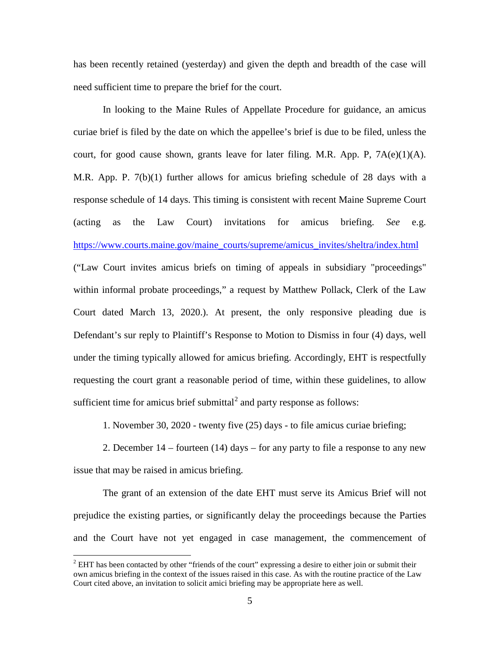has been recently retained (yesterday) and given the depth and breadth of the case will need sufficient time to prepare the brief for the court.

In looking to the Maine Rules of Appellate Procedure for guidance, an amicus curiae brief is filed by the date on which the appellee's brief is due to be filed, unless the court, for good cause shown, grants leave for later filing. M.R. App. P,  $7A(e)(1)(A)$ . M.R. App. P. 7(b)(1) further allows for amicus briefing schedule of 28 days with a response schedule of 14 days. This timing is consistent with recent Maine Supreme Court (acting as the Law Court) invitations for amicus briefing. *See* e.g. [https://www.courts.maine.gov/maine\\_courts/supreme/amicus\\_invites/sheltra/index.html](https://www.courts.maine.gov/maine_courts/supreme/amicus_invites/sheltra/index.html) ("Law Court invites amicus briefs on timing of appeals in subsidiary "proceedings" within informal probate proceedings," a request by Matthew Pollack, Clerk of the Law Court dated March 13, 2020.). At present, the only responsive pleading due is Defendant's sur reply to Plaintiff's Response to Motion to Dismiss in four (4) days, well under the timing typically allowed for amicus briefing. Accordingly, EHT is respectfully requesting the court grant a reasonable period of time, within these guidelines, to allow sufficient time for amicus brief submittal<sup>[2](#page-4-0)</sup> and party response as follows:

1. November 30, 2020 - twenty five (25) days - to file amicus curiae briefing;

2. December 14 – fourteen (14) days – for any party to file a response to any new issue that may be raised in amicus briefing.

The grant of an extension of the date EHT must serve its Amicus Brief will not prejudice the existing parties, or significantly delay the proceedings because the Parties and the Court have not yet engaged in case management, the commencement of

<span id="page-4-0"></span> $2$  EHT has been contacted by other "friends of the court" expressing a desire to either join or submit their own amicus briefing in the context of the issues raised in this case. As with the routine practice of the Law Court cited above, an invitation to solicit amici briefing may be appropriate here as well.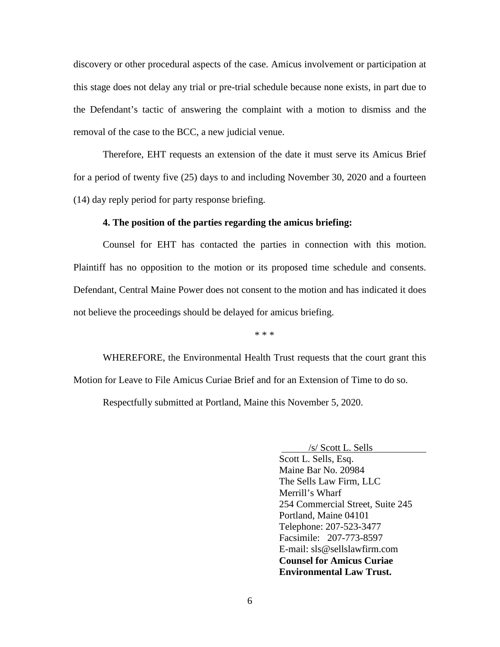discovery or other procedural aspects of the case. Amicus involvement or participation at this stage does not delay any trial or pre-trial schedule because none exists, in part due to the Defendant's tactic of answering the complaint with a motion to dismiss and the removal of the case to the BCC, a new judicial venue.

Therefore, EHT requests an extension of the date it must serve its Amicus Brief for a period of twenty five (25) days to and including November 30, 2020 and a fourteen (14) day reply period for party response briefing.

# **4. The position of the parties regarding the amicus briefing:**

Counsel for EHT has contacted the parties in connection with this motion. Plaintiff has no opposition to the motion or its proposed time schedule and consents. Defendant, Central Maine Power does not consent to the motion and has indicated it does not believe the proceedings should be delayed for amicus briefing.

\* \* \*

WHEREFORE, the Environmental Health Trust requests that the court grant this Motion for Leave to File Amicus Curiae Brief and for an Extension of Time to do so. Respectfully submitted at Portland, Maine this November 5, 2020.

/s/ Scott L. Sells

Scott L. Sells, Esq. Maine Bar No. 20984 The Sells Law Firm, LLC Merrill's Wharf 254 Commercial Street, Suite 245 Portland, Maine 04101 Telephone: 207-523-3477 Facsimile: 207-773-8597 E-mail: sls@sellslawfirm.com **Counsel for Amicus Curiae Environmental Law Trust.**